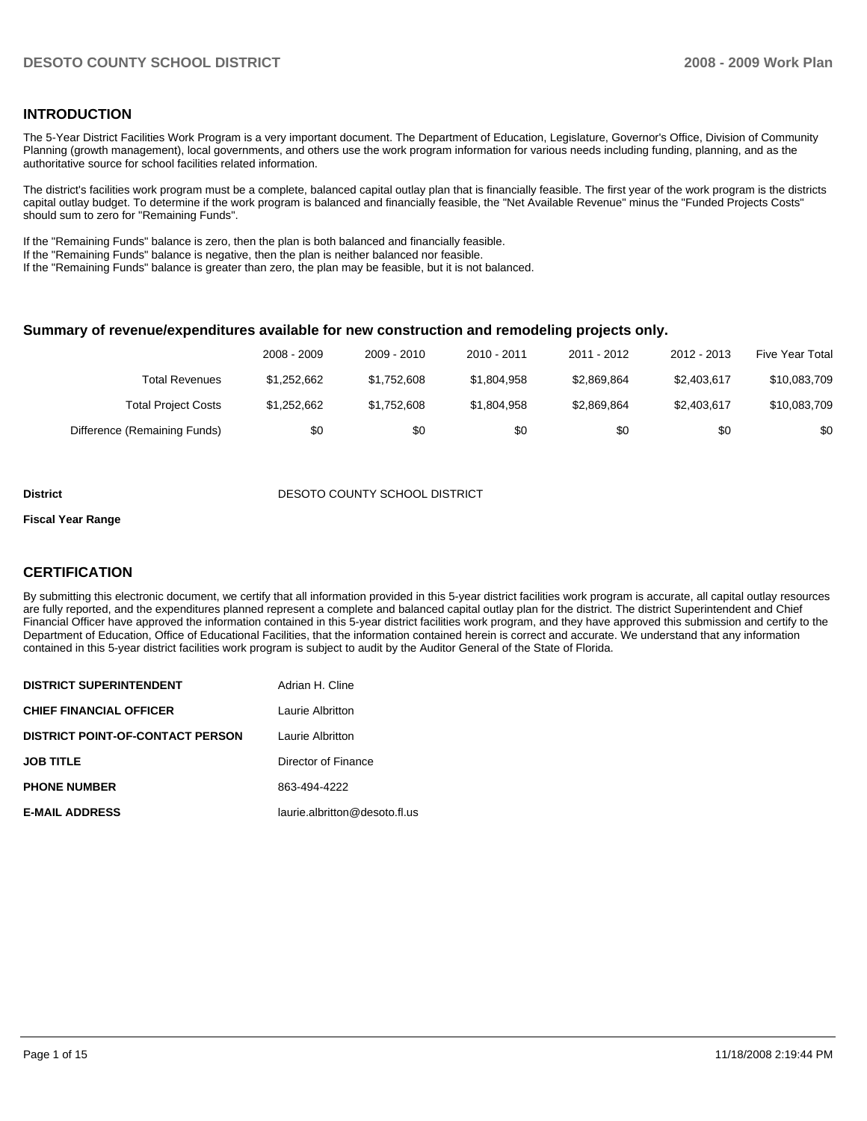### **INTRODUCTION**

The 5-Year District Facilities Work Program is a very important document. The Department of Education, Legislature, Governor's Office, Division of Community Planning (growth management), local governments, and others use the work program information for various needs including funding, planning, and as the authoritative source for school facilities related information.

The district's facilities work program must be a complete, balanced capital outlay plan that is financially feasible. The first year of the work program is the districts capital outlay budget. To determine if the work program is balanced and financially feasible, the "Net Available Revenue" minus the "Funded Projects Costs" should sum to zero for "Remaining Funds".

If the "Remaining Funds" balance is zero, then the plan is both balanced and financially feasible.

If the "Remaining Funds" balance is negative, then the plan is neither balanced nor feasible.

If the "Remaining Funds" balance is greater than zero, the plan may be feasible, but it is not balanced.

#### **Summary of revenue/expenditures available for new construction and remodeling projects only.**

|                              | 2008 - 2009 | 2009 - 2010 | $2010 - 2011$ | 2011 - 2012 | 2012 - 2013 | <b>Five Year Total</b> |
|------------------------------|-------------|-------------|---------------|-------------|-------------|------------------------|
| Total Revenues               | \$1.252.662 | \$1.752.608 | \$1.804.958   | \$2.869.864 | \$2,403,617 | \$10,083,709           |
| <b>Total Project Costs</b>   | \$1.252.662 | \$1,752,608 | \$1,804,958   | \$2,869,864 | \$2,403,617 | \$10,083,709           |
| Difference (Remaining Funds) | \$0         | \$0         | \$0           | \$0         | \$0         | \$0                    |

#### **District COUNTY SCHOOL DISTRICT DESOTO COUNTY SCHOOL DISTRICT**

#### **Fiscal Year Range**

#### **CERTIFICATION**

By submitting this electronic document, we certify that all information provided in this 5-year district facilities work program is accurate, all capital outlay resources are fully reported, and the expenditures planned represent a complete and balanced capital outlay plan for the district. The district Superintendent and Chief Financial Officer have approved the information contained in this 5-year district facilities work program, and they have approved this submission and certify to the Department of Education, Office of Educational Facilities, that the information contained herein is correct and accurate. We understand that any information contained in this 5-year district facilities work program is subject to audit by the Auditor General of the State of Florida.

| <b>DISTRICT SUPERINTENDENT</b>          | Adrian H. Cline               |
|-----------------------------------------|-------------------------------|
| <b>CHIEF FINANCIAL OFFICER</b>          | Laurie Albritton              |
| <b>DISTRICT POINT-OF-CONTACT PERSON</b> | Laurie Albritton              |
| <b>JOB TITLE</b>                        | Director of Finance           |
| <b>PHONE NUMBER</b>                     | 863-494-4222                  |
| <b>E-MAIL ADDRESS</b>                   | laurie.albritton@desoto.fl.us |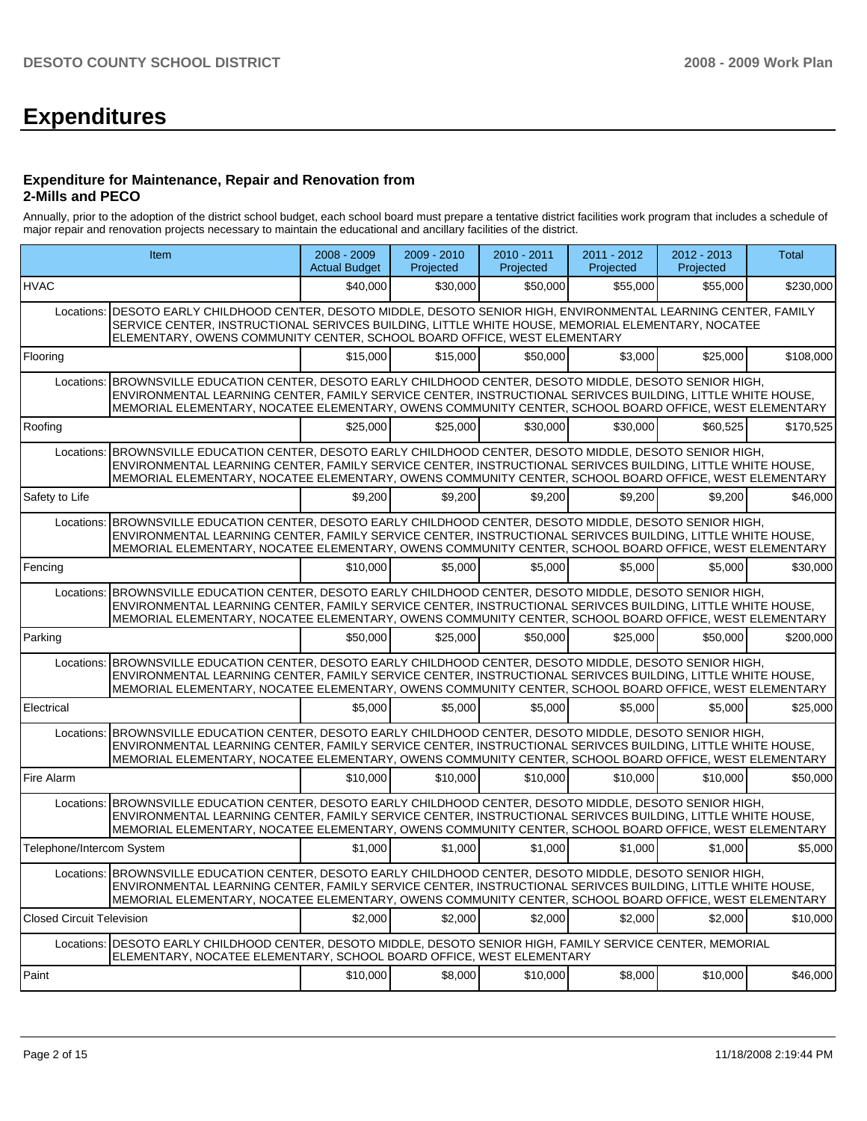# **Expenditures**

#### **Expenditure for Maintenance, Repair and Renovation from 2-Mills and PECO**

Annually, prior to the adoption of the district school budget, each school board must prepare a tentative district facilities work program that includes a schedule of major repair and renovation projects necessary to maintain the educational and ancillary facilities of the district.

|                                  | Item                                                                                                                                                                                                                                                                                                                              | 2008 - 2009<br><b>Actual Budget</b> | $2009 - 2010$<br>Projected | 2010 - 2011<br>Projected | 2011 - 2012<br>Projected | $2012 - 2013$<br>Projected | Total     |
|----------------------------------|-----------------------------------------------------------------------------------------------------------------------------------------------------------------------------------------------------------------------------------------------------------------------------------------------------------------------------------|-------------------------------------|----------------------------|--------------------------|--------------------------|----------------------------|-----------|
| <b>HVAC</b>                      |                                                                                                                                                                                                                                                                                                                                   | \$40,000                            | \$30,000                   | \$50,000                 | \$55,000                 | \$55,000                   | \$230,000 |
|                                  | Locations:   DESOTO EARLY CHILDHOOD CENTER, DESOTO MIDDLE, DESOTO SENIOR HIGH, ENVIRONMENTAL LEARNING CENTER, FAMILY<br>SERVICE CENTER, INSTRUCTIONAL SERIVCES BUILDING, LITTLE WHITE HOUSE, MEMORIAL ELEMENTARY, NOCATEE<br>ELEMENTARY, OWENS COMMUNITY CENTER, SCHOOL BOARD OFFICE, WEST ELEMENTARY                             |                                     |                            |                          |                          |                            |           |
| Flooring                         |                                                                                                                                                                                                                                                                                                                                   | \$15,000                            | \$15,000                   | \$50,000                 | \$3,000                  | \$25,000                   | \$108,000 |
| Locations:                       | BROWNSVILLE EDUCATION CENTER, DESOTO EARLY CHILDHOOD CENTER, DESOTO MIDDLE, DESOTO SENIOR HIGH,<br>ENVIRONMENTAL LEARNING CENTER, FAMILY SERVICE CENTER, INSTRUCTIONAL SERIVCES BUILDING, LITTLE WHITE HOUSE,<br>MEMORIAL ELEMENTARY, NOCATEE ELEMENTARY, OWENS COMMUNITY CENTER, SCHOOL BOARD OFFICE, WEST ELEMENTARY            |                                     |                            |                          |                          |                            |           |
| Roofing                          |                                                                                                                                                                                                                                                                                                                                   | \$25,000                            | \$25,000                   | \$30,000                 | \$30,000                 | \$60,525                   | \$170.525 |
| Locations:                       | BROWNSVILLE EDUCATION CENTER, DESOTO EARLY CHILDHOOD CENTER, DESOTO MIDDLE, DESOTO SENIOR HIGH,<br>ENVIRONMENTAL LEARNING CENTER, FAMILY SERVICE CENTER, INSTRUCTIONAL SERIVCES BUILDING, LITTLE WHITE HOUSE,<br>MEMORIAL ELEMENTARY, NOCATEE ELEMENTARY, OWENS COMMUNITY CENTER, SCHOOL BOARD OFFICE, WEST ELEMENTARY            |                                     |                            |                          |                          |                            |           |
| Safety to Life                   |                                                                                                                                                                                                                                                                                                                                   | \$9,200                             | \$9,200                    | \$9,200                  | \$9,200                  | \$9,200                    | \$46,000  |
|                                  | Locations: BROWNSVILLE EDUCATION CENTER, DESOTO EARLY CHILDHOOD CENTER, DESOTO MIDDLE, DESOTO SENIOR HIGH,<br>ENVIRONMENTAL LEARNING CENTER, FAMILY SERVICE CENTER, INSTRUCTIONAL SERIVCES BUILDING, LITTLE WHITE HOUSE,<br>MEMORIAL ELEMENTARY, NOCATEE ELEMENTARY, OWENS COMMUNITY CENTER, SCHOOL BOARD OFFICE, WEST ELEMENTARY |                                     |                            |                          |                          |                            |           |
| Fencing                          |                                                                                                                                                                                                                                                                                                                                   | \$10,000                            | \$5,000                    | \$5,000                  | \$5,000                  | \$5,000                    | \$30,000  |
|                                  | Locations: BROWNSVILLE EDUCATION CENTER, DESOTO EARLY CHILDHOOD CENTER, DESOTO MIDDLE, DESOTO SENIOR HIGH,<br>ENVIRONMENTAL LEARNING CENTER, FAMILY SERVICE CENTER, INSTRUCTIONAL SERIVCES BUILDING, LITTLE WHITE HOUSE,<br>MEMORIAL ELEMENTARY, NOCATEE ELEMENTARY, OWENS COMMUNITY CENTER, SCHOOL BOARD OFFICE, WEST ELEMENTARY |                                     |                            |                          |                          |                            |           |
| Parking                          |                                                                                                                                                                                                                                                                                                                                   | \$50,000                            | \$25.000                   | \$50.000                 | \$25,000                 | \$50.000                   | \$200.000 |
| Locations:                       | BROWNSVILLE EDUCATION CENTER, DESOTO EARLY CHILDHOOD CENTER, DESOTO MIDDLE, DESOTO SENIOR HIGH,<br>ENVIRONMENTAL LEARNING CENTER, FAMILY SERVICE CENTER, INSTRUCTIONAL SERIVCES BUILDING, LITTLE WHITE HOUSE,<br>MEMORIAL ELEMENTARY, NOCATEE ELEMENTARY, OWENS COMMUNITY CENTER, SCHOOL BOARD OFFICE, WEST ELEMENTARY            |                                     |                            |                          |                          |                            |           |
| Electrical                       |                                                                                                                                                                                                                                                                                                                                   | \$5,000                             | \$5,000                    | \$5,000                  | \$5,000                  | \$5.000                    | \$25,000  |
|                                  | Locations: BROWNSVILLE EDUCATION CENTER, DESOTO EARLY CHILDHOOD CENTER, DESOTO MIDDLE, DESOTO SENIOR HIGH,<br>ENVIRONMENTAL LEARNING CENTER, FAMILY SERVICE CENTER, INSTRUCTIONAL SERIVCES BUILDING, LITTLE WHITE HOUSE,<br>MEMORIAL ELEMENTARY, NOCATEE ELEMENTARY, OWENS COMMUNITY CENTER, SCHOOL BOARD OFFICE, WEST ELEMENTARY |                                     |                            |                          |                          |                            |           |
| Fire Alarm                       |                                                                                                                                                                                                                                                                                                                                   | \$10,000                            | \$10.000                   | \$10.000                 | \$10,000                 | \$10,000                   | \$50,000  |
|                                  | Locations: BROWNSVILLE EDUCATION CENTER, DESOTO EARLY CHILDHOOD CENTER, DESOTO MIDDLE, DESOTO SENIOR HIGH,<br>ENVIRONMENTAL LEARNING CENTER, FAMILY SERVICE CENTER, INSTRUCTIONAL SERIVCES BUILDING, LITTLE WHITE HOUSE,<br>MEMORIAL ELEMENTARY, NOCATEE ELEMENTARY, OWENS COMMUNITY CENTER, SCHOOL BOARD OFFICE, WEST ELEMENTARY |                                     |                            |                          |                          |                            |           |
| Telephone/Intercom System        |                                                                                                                                                                                                                                                                                                                                   | \$1,000                             | \$1,000                    | \$1,000                  | \$1,000                  | \$1,000                    | \$5,000   |
|                                  | Locations: BROWNSVILLE EDUCATION CENTER, DESOTO EARLY CHILDHOOD CENTER, DESOTO MIDDLE, DESOTO SENIOR HIGH,<br>ENVIRONMENTAL LEARNING CENTER, FAMILY SERVICE CENTER, INSTRUCTIONAL SERIVCES BUILDING, LITTLE WHITE HOUSE,<br>MEMORIAL ELEMENTARY, NOCATEE ELEMENTARY, OWENS COMMUNITY CENTER, SCHOOL BOARD OFFICE, WEST ELEMENTARY |                                     |                            |                          |                          |                            |           |
| <b>Closed Circuit Television</b> |                                                                                                                                                                                                                                                                                                                                   | \$2,000                             | \$2,000                    | \$2,000                  | \$2,000                  | \$2,000                    | \$10,000  |
|                                  | Locations:   DESOTO EARLY CHILDHOOD CENTER, DESOTO MIDDLE, DESOTO SENIOR HIGH, FAMILY SERVICE CENTER, MEMORIAL<br>ELEMENTARY, NOCATEE ELEMENTARY, SCHOOL BOARD OFFICE, WEST ELEMENTARY                                                                                                                                            |                                     |                            |                          |                          |                            |           |
| Paint                            |                                                                                                                                                                                                                                                                                                                                   | \$10,000                            | \$8,000                    | \$10,000                 | \$8,000                  | \$10,000                   | \$46,000  |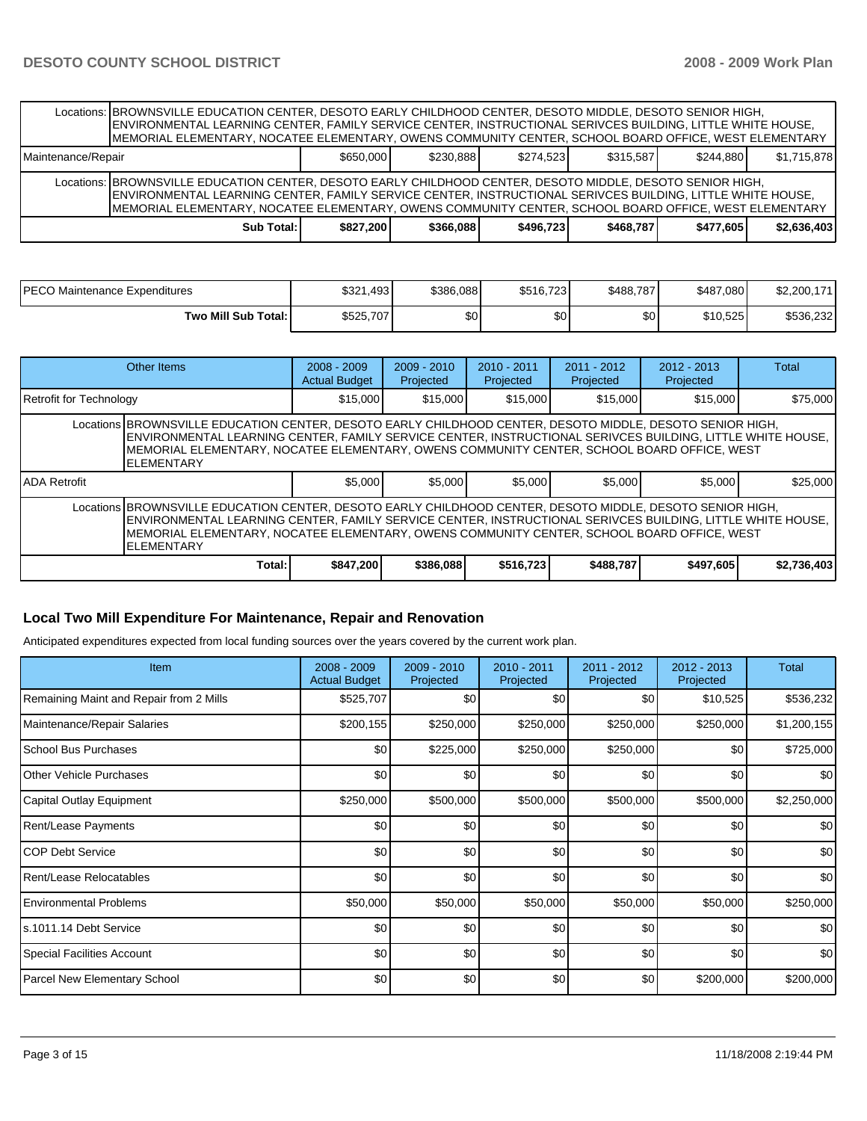|                    | Locations: BROWNSVILLE EDUCATION CENTER, DESOTO EARLY CHILDHOOD CENTER, DESOTO MIDDLE, DESOTO SENIOR HIGH,<br>ENVIRONMENTAL LEARNING CENTER, FAMILY SERVICE CENTER, INSTRUCTIONAL SERIVCES BUILDING, LITTLE WHITE HOUSE,<br>MEMORIAL ELEMENTARY, NOCATEE ELEMENTARY, OWENS COMMUNITY CENTER, SCHOOL BOARD OFFICE, WEST ELEMENTARY |           |           |           |           |           |             |
|--------------------|-----------------------------------------------------------------------------------------------------------------------------------------------------------------------------------------------------------------------------------------------------------------------------------------------------------------------------------|-----------|-----------|-----------|-----------|-----------|-------------|
| Maintenance/Repair |                                                                                                                                                                                                                                                                                                                                   | \$650,000 | \$230.888 | \$274.523 | \$315.587 | \$244.880 | \$1,715,878 |
|                    | Locations: BROWNSVILLE EDUCATION CENTER, DESOTO EARLY CHILDHOOD CENTER, DESOTO MIDDLE, DESOTO SENIOR HIGH,<br>ENVIRONMENTAL LEARNING CENTER, FAMILY SERVICE CENTER, INSTRUCTIONAL SERIVCES BUILDING, LITTLE WHITE HOUSE,<br>MEMORIAL ELEMENTARY, NOCATEE ELEMENTARY, OWENS COMMUNITY CENTER, SCHOOL BOARD OFFICE, WEST ELEMENTARY |           |           |           |           |           |             |
|                    | Sub Total:                                                                                                                                                                                                                                                                                                                        | \$827.200 | \$366,088 | \$496.723 | \$468.787 | \$477.605 | \$2.636.403 |

| IPECO Maintenance Expenditures | \$321,493 | \$386,088 | \$516,723 | \$488.787 | \$487.080 | \$2,200,171 |
|--------------------------------|-----------|-----------|-----------|-----------|-----------|-------------|
| Two Mill Sub Total:            | \$525,707 | \$0       | \$0       | \$0       | \$10,525  | \$536,232   |

| Other Items                                                                                                                                                                                                                                                                                                                                 |        | $2008 - 2009$<br><b>Actual Budget</b> | $2009 - 2010$<br>Projected | $2010 - 2011$<br>Projected | 2011 - 2012<br>Projected | $2012 - 2013$<br>Projected | Total       |  |  |
|---------------------------------------------------------------------------------------------------------------------------------------------------------------------------------------------------------------------------------------------------------------------------------------------------------------------------------------------|--------|---------------------------------------|----------------------------|----------------------------|--------------------------|----------------------------|-------------|--|--|
| Retrofit for Technology                                                                                                                                                                                                                                                                                                                     |        | \$15,000                              | \$15,000                   | \$15,000                   | \$15,000                 | \$15,000                   | \$75,000    |  |  |
| Locations BROWNSVILLE EDUCATION CENTER, DESOTO EARLY CHILDHOOD CENTER, DESOTO MIDDLE, DESOTO SENIOR HIGH,<br>ENVIRONMENTAL LEARNING CENTER, FAMILY SERVICE CENTER, INSTRUCTIONAL SERIVCES BUILDING, LITTLE WHITE HOUSE,<br>IMEMORIAL ELEMENTARY. NOCATEE ELEMENTARY. OWENS COMMUNITY CENTER. SCHOOL BOARD OFFICE. WEST<br><b>ELEMENTARY</b> |        |                                       |                            |                            |                          |                            |             |  |  |
| <b>IADA Retrofit</b>                                                                                                                                                                                                                                                                                                                        |        | \$5,000                               | \$5,000                    | \$5,000                    | \$5,000                  | \$5,000                    | \$25,000    |  |  |
| Locations BROWNSVILLE EDUCATION CENTER, DESOTO EARLY CHILDHOOD CENTER, DESOTO MIDDLE, DESOTO SENIOR HIGH,<br>ENVIRONMENTAL LEARNING CENTER, FAMILY SERVICE CENTER, INSTRUCTIONAL SERIVCES BUILDING, LITTLE WHITE HOUSE,<br>IMEMORIAL ELEMENTARY. NOCATEE ELEMENTARY. OWENS COMMUNITY CENTER. SCHOOL BOARD OFFICE. WEST<br><b>ELEMENTARY</b> |        |                                       |                            |                            |                          |                            |             |  |  |
|                                                                                                                                                                                                                                                                                                                                             | Total: | \$847,200                             | \$386,088                  | \$516,723                  | \$488,787                | \$497,605                  | \$2,736,403 |  |  |

### **Local Two Mill Expenditure For Maintenance, Repair and Renovation**

Anticipated expenditures expected from local funding sources over the years covered by the current work plan.

| <b>Item</b>                             | 2008 - 2009<br><b>Actual Budget</b> | $2009 - 2010$<br>Projected | 2010 - 2011<br>Projected | $2011 - 2012$<br>Projected | $2012 - 2013$<br>Projected | <b>Total</b> |
|-----------------------------------------|-------------------------------------|----------------------------|--------------------------|----------------------------|----------------------------|--------------|
| Remaining Maint and Repair from 2 Mills | \$525,707                           | \$0                        | \$0                      | \$0                        | \$10,525                   | \$536,232    |
| Maintenance/Repair Salaries             | \$200,155                           | \$250,000                  | \$250,000                | \$250,000                  | \$250,000                  | \$1,200,155  |
| School Bus Purchases                    | \$0                                 | \$225,000                  | \$250,000                | \$250,000                  | \$0                        | \$725,000    |
| <b>Other Vehicle Purchases</b>          | \$0                                 | \$0                        | \$0                      | \$0                        | \$0                        | \$0          |
| Capital Outlay Equipment                | \$250,000                           | \$500,000                  | \$500,000                | \$500,000                  | \$500,000                  | \$2,250,000  |
| <b>Rent/Lease Payments</b>              | \$0                                 | \$0                        | \$0                      | \$0                        | \$0                        | \$0          |
| ICOP Debt Service                       | \$0                                 | \$0                        | \$0                      | \$0                        | \$0                        | \$0          |
| Rent/Lease Relocatables                 | \$0                                 | \$0                        | \$0                      | \$0                        | \$0                        | \$0          |
| <b>Environmental Problems</b>           | \$50,000                            | \$50,000                   | \$50,000                 | \$50,000                   | \$50,000                   | \$250,000    |
| ls.1011.14 Debt Service                 | \$0                                 | \$0                        | \$0                      | \$0                        | \$0                        | \$0          |
| <b>Special Facilities Account</b>       | \$0 <sub>1</sub>                    | \$0                        | \$0                      | \$0                        | \$0                        | \$0          |
| <b>Parcel New Elementary School</b>     | \$0                                 | \$0                        | \$0                      | \$0                        | \$200,000                  | \$200,000    |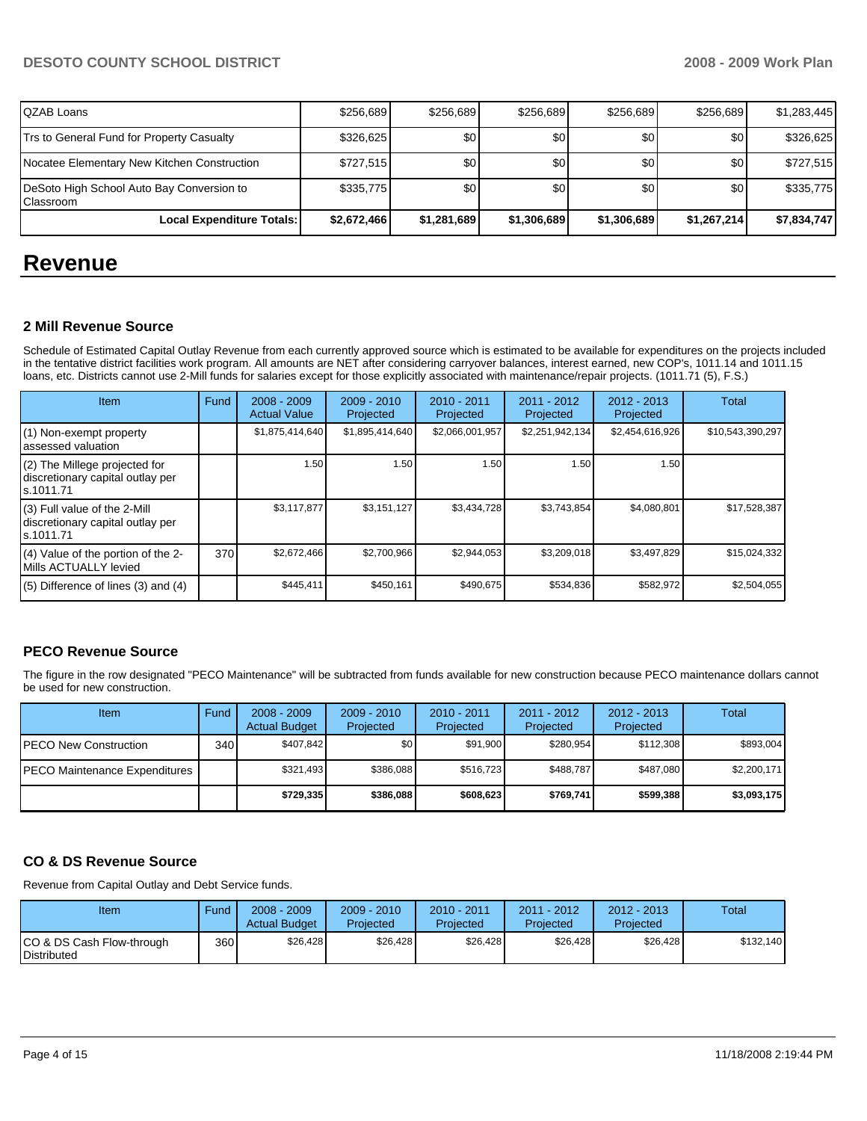# **DESOTO COUNTY SCHOOL DISTRICT 2008 - 2009 Work Plan**

| IQZAB Loans                                              | \$256.689   | \$256.689   | \$256.689   | \$256.689   | \$256.689        | \$1.283.445 |
|----------------------------------------------------------|-------------|-------------|-------------|-------------|------------------|-------------|
| Trs to General Fund for Property Casualty                | \$326,625   | <b>\$01</b> | \$0         | \$0         | \$0 <sub>1</sub> | \$326,625   |
| Nocatee Elementary New Kitchen Construction              | \$727.515   | \$0         | \$0         | \$0         | \$0              | \$727,515   |
| DeSoto High School Auto Bay Conversion to<br>l Classroom | \$335,775   | \$0         | \$0         | \$0         | \$0              | \$335,775   |
| Local Expenditure Totals:                                | \$2,672,466 | \$1,281,689 | \$1,306,689 | \$1,306,689 | \$1.267.214      | \$7,834,747 |

# **Revenue**

### **2 Mill Revenue Source**

Schedule of Estimated Capital Outlay Revenue from each currently approved source which is estimated to be available for expenditures on the projects included in the tentative district facilities work program. All amounts are NET after considering carryover balances, interest earned, new COP's, 1011.14 and 1011.15 loans, etc. Districts cannot use 2-Mill funds for salaries except for those explicitly associated with maintenance/repair projects. (1011.71 (5), F.S.)

| <b>Item</b>                                                                      | Fund | $2008 - 2009$<br><b>Actual Value</b> | $2009 - 2010$<br>Projected | $2010 - 2011$<br>Projected | $2011 - 2012$<br>Projected | $2012 - 2013$<br>Projected | Total            |
|----------------------------------------------------------------------------------|------|--------------------------------------|----------------------------|----------------------------|----------------------------|----------------------------|------------------|
| $(1)$ Non-exempt property<br>lassessed valuation                                 |      | \$1,875,414,640                      | \$1,895,414,640            | \$2,066,001,957            | \$2,251,942,134            | \$2,454,616,926            | \$10,543,390,297 |
| (2) The Millege projected for<br>discretionary capital outlay per<br>ls.1011.71  |      | 1.50                                 | 1.50                       | 1.50                       | 1.50                       | 1.50                       |                  |
| $(3)$ Full value of the 2-Mill<br>discretionary capital outlay per<br>ls.1011.71 |      | \$3,117,877                          | \$3,151,127                | \$3,434,728                | \$3,743,854                | \$4,080,801                | \$17,528,387     |
| $(4)$ Value of the portion of the 2-<br>Mills ACTUALLY levied                    | 370  | \$2,672,466                          | \$2,700,966                | \$2,944,053                | \$3,209,018                | \$3,497,829                | \$15,024,332     |
| $(5)$ Difference of lines $(3)$ and $(4)$                                        |      | \$445,411                            | \$450,161                  | \$490.675                  | \$534.836                  | \$582.972                  | \$2,504,055      |

# **PECO Revenue Source**

The figure in the row designated "PECO Maintenance" will be subtracted from funds available for new construction because PECO maintenance dollars cannot be used for new construction.

| Item                                 | Fund         | $2008 - 2009$<br><b>Actual Budget</b> | $2009 - 2010$<br>Projected | $2010 - 2011$<br>Projected | 2011 - 2012<br>Projected | $2012 - 2013$<br>Projected | Total       |
|--------------------------------------|--------------|---------------------------------------|----------------------------|----------------------------|--------------------------|----------------------------|-------------|
| IPECO New Construction               | 340 <b>I</b> | \$407.842                             | \$0 <sub>1</sub>           | \$91.900                   | \$280.954                | \$112.308                  | \$893,004   |
| <b>PECO Maintenance Expenditures</b> |              | \$321.493                             | \$386,088                  | \$516.723                  | \$488.787                | \$487.080                  | \$2,200,171 |
|                                      |              | \$729.335                             | \$386,088                  | \$608.623                  | \$769.741                | \$599,388                  | \$3,093,175 |

# **CO & DS Revenue Source**

Revenue from Capital Outlay and Debt Service funds.

| Item                                             | Fund | $2008 - 2009$<br><b>Actual Budget</b> | $2009 - 2010$<br>Projected | $2010 - 2011$<br>Projected | 2011 - 2012<br>Projected | $2012 - 2013$<br>Projected | Total     |
|--------------------------------------------------|------|---------------------------------------|----------------------------|----------------------------|--------------------------|----------------------------|-----------|
| ICO & DS Cash Flow-through<br><b>Distributed</b> | 360  | \$26.428                              | \$26.428                   | \$26.428                   | \$26.428                 | \$26.428                   | \$132.140 |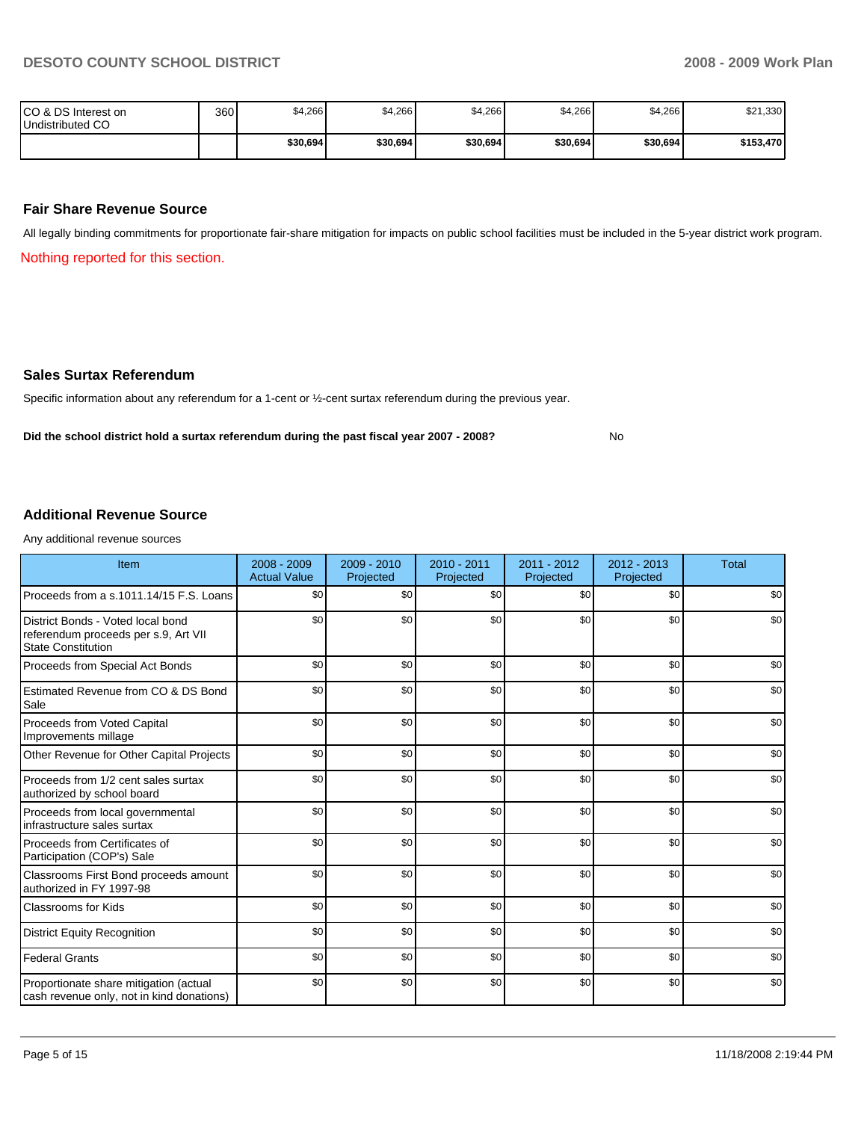| ICO & DS Interest on<br>Undistributed CO | 360 | \$4,266  | \$4,266  | \$4,266  | \$4,266  | \$4,266  | \$21,330  |
|------------------------------------------|-----|----------|----------|----------|----------|----------|-----------|
|                                          |     | \$30,694 | \$30,694 | \$30,694 | \$30,694 | \$30,694 | \$153,470 |

#### **Fair Share Revenue Source**

All legally binding commitments for proportionate fair-share mitigation for impacts on public school facilities must be included in the 5-year district work program.

Nothing reported for this section.

#### **Sales Surtax Referendum**

Specific information about any referendum for a 1-cent or ½-cent surtax referendum during the previous year.

Did the school district hold a surtax referendum during the past fiscal year 2007 - 2008? No

**Additional Revenue Source** 

Any additional revenue sources

| Item                                                                                                   | $2008 - 2009$<br><b>Actual Value</b> | $2009 - 2010$<br>Projected | $2010 - 2011$<br>Projected | $2011 - 2012$<br>Projected | 2012 - 2013<br>Projected | <b>Total</b> |
|--------------------------------------------------------------------------------------------------------|--------------------------------------|----------------------------|----------------------------|----------------------------|--------------------------|--------------|
| Proceeds from a s.1011.14/15 F.S. Loans                                                                | \$0                                  | \$0                        | \$0                        | \$0                        | \$0                      | \$0          |
| District Bonds - Voted local bond<br>referendum proceeds per s.9, Art VII<br><b>State Constitution</b> | \$0                                  | \$0                        | \$0                        | \$0                        | \$0                      | \$0          |
| Proceeds from Special Act Bonds                                                                        | \$0                                  | \$0                        | \$0                        | \$0                        | \$0                      | \$0          |
| Estimated Revenue from CO & DS Bond<br>Sale                                                            | \$0                                  | \$0                        | \$0                        | \$0                        | \$0                      | \$0          |
| Proceeds from Voted Capital<br>Improvements millage                                                    | \$0                                  | \$0                        | \$0                        | \$0                        | \$0                      | \$0          |
| Other Revenue for Other Capital Projects                                                               | \$0                                  | \$0                        | \$0                        | \$0                        | \$0                      | \$0          |
| Proceeds from 1/2 cent sales surtax<br>authorized by school board                                      | \$0                                  | \$0                        | \$0                        | \$0                        | \$0                      | \$0          |
| Proceeds from local governmental<br>infrastructure sales surtax                                        | \$0                                  | \$0                        | \$0                        | \$0                        | \$0                      | \$0          |
| Proceeds from Certificates of<br>Participation (COP's) Sale                                            | \$0                                  | \$0                        | \$0                        | \$0                        | \$0                      | \$0          |
| Classrooms First Bond proceeds amount<br>authorized in FY 1997-98                                      | \$0                                  | \$0                        | \$0                        | \$0                        | \$0                      | \$0          |
| <b>Classrooms for Kids</b>                                                                             | \$0                                  | \$0                        | \$0                        | \$0                        | \$0                      | \$0          |
| <b>District Equity Recognition</b>                                                                     | \$0                                  | \$0                        | \$0                        | \$0                        | \$0                      | \$0          |
| <b>Federal Grants</b>                                                                                  | \$0                                  | \$0                        | \$0                        | \$0                        | \$0                      | \$0          |
| Proportionate share mitigation (actual<br>cash revenue only, not in kind donations)                    | \$0                                  | \$0                        | \$0                        | \$0                        | \$0                      | \$0          |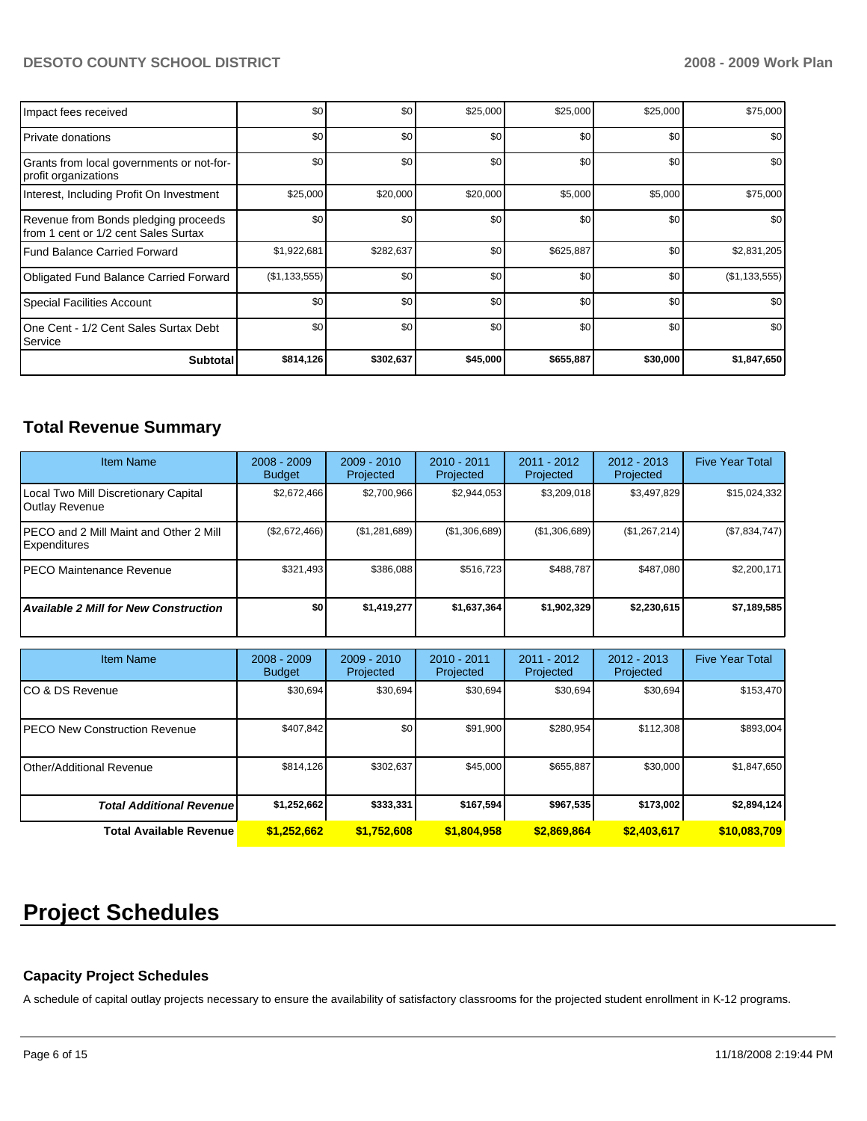# **DESOTO COUNTY SCHOOL DISTRICT 2008 - 2009 Work Plan**

| Impact fees received                                                          | \$0           | \$0       | \$25,000 | \$25,000  | \$25,000         | \$75,000      |
|-------------------------------------------------------------------------------|---------------|-----------|----------|-----------|------------------|---------------|
| l Private donations                                                           | \$0           | \$0       | \$0      | \$0       | \$0              | \$0           |
| Grants from local governments or not-for-<br>profit organizations             | \$0           | \$0       | \$0      | \$0       | \$0              | \$0           |
| Interest, Including Profit On Investment                                      | \$25,000      | \$20,000  | \$20,000 | \$5,000   | \$5,000          | \$75,000      |
| Revenue from Bonds pledging proceeds<br>Ifrom 1 cent or 1/2 cent Sales Surtax | \$0           | \$0       | \$0      | \$0       | \$0              | \$0           |
| Fund Balance Carried Forward                                                  | \$1,922,681   | \$282,637 | \$0      | \$625,887 | \$0              | \$2,831,205   |
| <b>Obligated Fund Balance Carried Forward</b>                                 | (\$1,133,555) | \$0       | \$0      | \$0       | \$0              | (\$1,133,555) |
| Special Facilities Account                                                    | \$0           | \$0       | \$0      | \$0       | \$0 <sub>1</sub> | \$0           |
| One Cent - 1/2 Cent Sales Surtax Debt<br><b>Service</b>                       | \$0           | \$0       | \$0      | \$0       | \$0              | \$0           |
| <b>Subtotal</b>                                                               | \$814,126     | \$302,637 | \$45,000 | \$655,887 | \$30,000         | \$1,847,650   |

# **Total Revenue Summary**

| <b>Item Name</b>                                               | $2008 - 2009$<br><b>Budget</b> | $2009 - 2010$<br>Projected | $2010 - 2011$<br>Projected | $2011 - 2012$<br>Projected | $2012 - 2013$<br>Projected | <b>Five Year Total</b> |
|----------------------------------------------------------------|--------------------------------|----------------------------|----------------------------|----------------------------|----------------------------|------------------------|
| Local Two Mill Discretionary Capital<br>Outlay Revenue         | \$2.672.466                    | \$2.700.966                | \$2.944.053                | \$3,209,018                | \$3,497,829                | \$15,024,332           |
| IPECO and 2 Mill Maint and Other 2 Mill<br><b>Expenditures</b> | (\$2,672,466)                  | (\$1,281,689)              | (\$1,306,689)              | (\$1,306,689)              | (\$1,267,214)              | (\$7,834,747)          |
| IPECO Maintenance Revenue                                      | \$321,493                      | \$386,088                  | \$516.723                  | \$488.787                  | \$487.080                  | \$2,200,171            |
| <b>Available 2 Mill for New Construction</b>                   | \$0                            | \$1,419,277                | \$1,637,364                | \$1,902,329                | \$2,230,615                | \$7,189,585            |

| <b>Item Name</b>                      | $2008 - 2009$<br><b>Budget</b> | $2009 - 2010$<br>Projected | 2010 - 2011<br>Projected | 2011 - 2012<br>Projected | $2012 - 2013$<br>Projected | <b>Five Year Total</b> |
|---------------------------------------|--------------------------------|----------------------------|--------------------------|--------------------------|----------------------------|------------------------|
| ICO & DS Revenue                      | \$30,694                       | \$30,694                   | \$30,694                 | \$30,694                 | \$30,694                   | \$153,470              |
| <b>IPECO New Construction Revenue</b> | \$407,842                      | \$0                        | \$91,900                 | \$280,954                | \$112,308                  | \$893,004              |
| <b>I</b> Other/Additional Revenue     | \$814,126                      | \$302.637                  | \$45,000                 | \$655,887                | \$30,000                   | \$1,847,650            |
| <b>Total Additional Revenuel</b>      | \$1,252,662                    | \$333,331                  | \$167,594                | \$967,535                | \$173,002                  | \$2,894,124            |
| Total Available Revenue               | \$1,252,662                    | \$1,752,608                | \$1,804,958              | \$2.869.864              | \$2,403,617                | \$10,083,709           |

# **Project Schedules**

# **Capacity Project Schedules**

A schedule of capital outlay projects necessary to ensure the availability of satisfactory classrooms for the projected student enrollment in K-12 programs.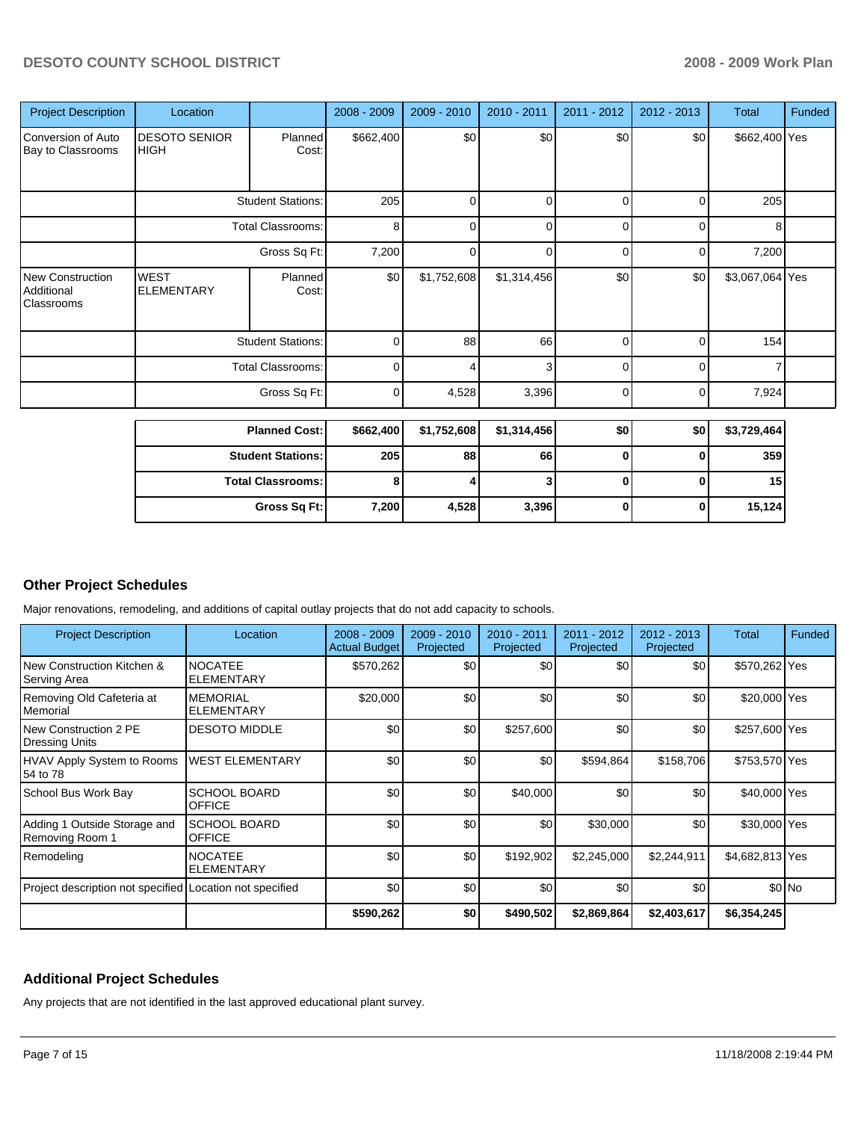| <b>Project Description</b>                          | Location                                                             |                          | $2008 - 2009$ | $2009 - 2010$ | 2010 - 2011 | $2011 - 2012$                                         | $2012 - 2013$  | Total           | <b>Funded</b> |
|-----------------------------------------------------|----------------------------------------------------------------------|--------------------------|---------------|---------------|-------------|-------------------------------------------------------|----------------|-----------------|---------------|
| Conversion of Auto<br>Bay to Classrooms             | <b>DESOTO SENIOR</b><br>HIGH                                         | Planned<br>Cost:         | \$662,400     | \$0           | \$0         | \$0                                                   | \$0            | \$662,400 Yes   |               |
|                                                     | <b>Student Stations:</b><br><b>Total Classrooms:</b><br>Gross Sq Ft: |                          | 205           | 0             | $\Omega$    | 0                                                     | $\overline{0}$ | 205             |               |
|                                                     |                                                                      |                          | 8             | $\Omega$      | $\Omega$    | 0                                                     | $\overline{0}$ | 8               |               |
|                                                     |                                                                      |                          | 7,200         | $\Omega$      | $\Omega$    | 0                                                     | $\overline{0}$ | 7,200           |               |
| <b>New Construction</b><br>Additional<br>Classrooms | <b>WEST</b><br><b>ELEMENTARY</b>                                     | Planned<br>Cost:         | \$0           | \$1,752,608   | \$1,314,456 | \$0                                                   | \$0            | \$3,067,064 Yes |               |
|                                                     |                                                                      | <b>Student Stations:</b> | $\Omega$      | 88            | 66          | 154<br>0<br>0<br>3 <sub>1</sub><br>7<br>0<br>$\Omega$ |                |                 |               |
|                                                     |                                                                      | <b>Total Classrooms:</b> | $\Omega$      |               |             |                                                       |                |                 |               |
|                                                     |                                                                      | Gross Sq Ft:             | 0             | 4,528         | 3,396       | 0                                                     | $\overline{0}$ | 7,924           |               |

| <b>Planned Cost:</b>     | \$662,400        | \$1,752,608 | \$1,314,456 | \$0 | \$0 | \$3,729,464 |
|--------------------------|------------------|-------------|-------------|-----|-----|-------------|
| <b>Student Stations:</b> | 205 <sub>1</sub> | 88          | 66          | υ   |     | 359         |
| <b>Total Classrooms:</b> |                  |             |             | υ   |     | 15          |
| Gross Sq Ft:             | 7,200            | 4.528       | 3,396       | U   |     | 15,124      |

# **Other Project Schedules**

Major renovations, remodeling, and additions of capital outlay projects that do not add capacity to schools.

| <b>Project Description</b>                               | Location                             | $2008 - 2009$<br><b>Actual Budget</b> | $2009 - 2010$<br>Projected | 2010 - 2011<br>Projected | $2011 - 2012$<br>Projected | $2012 - 2013$<br>Projected | <b>Total</b>    | Funded |
|----------------------------------------------------------|--------------------------------------|---------------------------------------|----------------------------|--------------------------|----------------------------|----------------------------|-----------------|--------|
| INew Construction Kitchen &<br> Serving Area             | <b>NOCATEE</b><br><b>ELEMENTARY</b>  | \$570,262                             | \$0                        | \$0                      | \$0                        | \$0                        | \$570,262 Yes   |        |
| Removing Old Cafeteria at<br><b>I</b> Memorial           | <b>MEMORIAL</b><br><b>ELEMENTARY</b> | \$20,000                              | \$0                        | \$0                      | \$0                        | \$0                        | \$20,000 Yes    |        |
| INew Construction 2 PE<br>Dressing Units                 | <b>DESOTO MIDDLE</b>                 | \$0                                   | \$0                        | \$257,600                | \$0                        | \$0                        | \$257,600 Yes   |        |
| HVAV Apply System to Rooms<br>154 to 78                  | <b>WEST ELEMENTARY</b>               | \$0                                   | \$0                        | \$0                      | \$594,864                  | \$158,706                  | \$753,570 Yes   |        |
| School Bus Work Bay                                      | <b>SCHOOL BOARD</b><br><b>OFFICE</b> | \$0                                   | \$0                        | \$40,000                 | \$0                        | \$0                        | \$40,000 Yes    |        |
| Adding 1 Outside Storage and<br>Removing Room 1          | <b>SCHOOL BOARD</b><br><b>OFFICE</b> | \$0                                   | \$0                        | \$0                      | \$30,000                   | \$0                        | \$30,000 Yes    |        |
| Remodeling                                               | <b>NOCATEE</b><br><b>ELEMENTARY</b>  | \$0                                   | \$0                        | \$192,902                | \$2,245,000                | \$2,244,911                | \$4,682,813 Yes |        |
| Project description not specified Location not specified |                                      | \$0                                   | \$0                        | \$0                      | \$0                        | \$0                        |                 | \$0 No |
|                                                          |                                      | \$590,262                             | \$0                        | \$490,502                | \$2,869,864                | \$2,403,617                | \$6,354,245     |        |

### **Additional Project Schedules**

Any projects that are not identified in the last approved educational plant survey.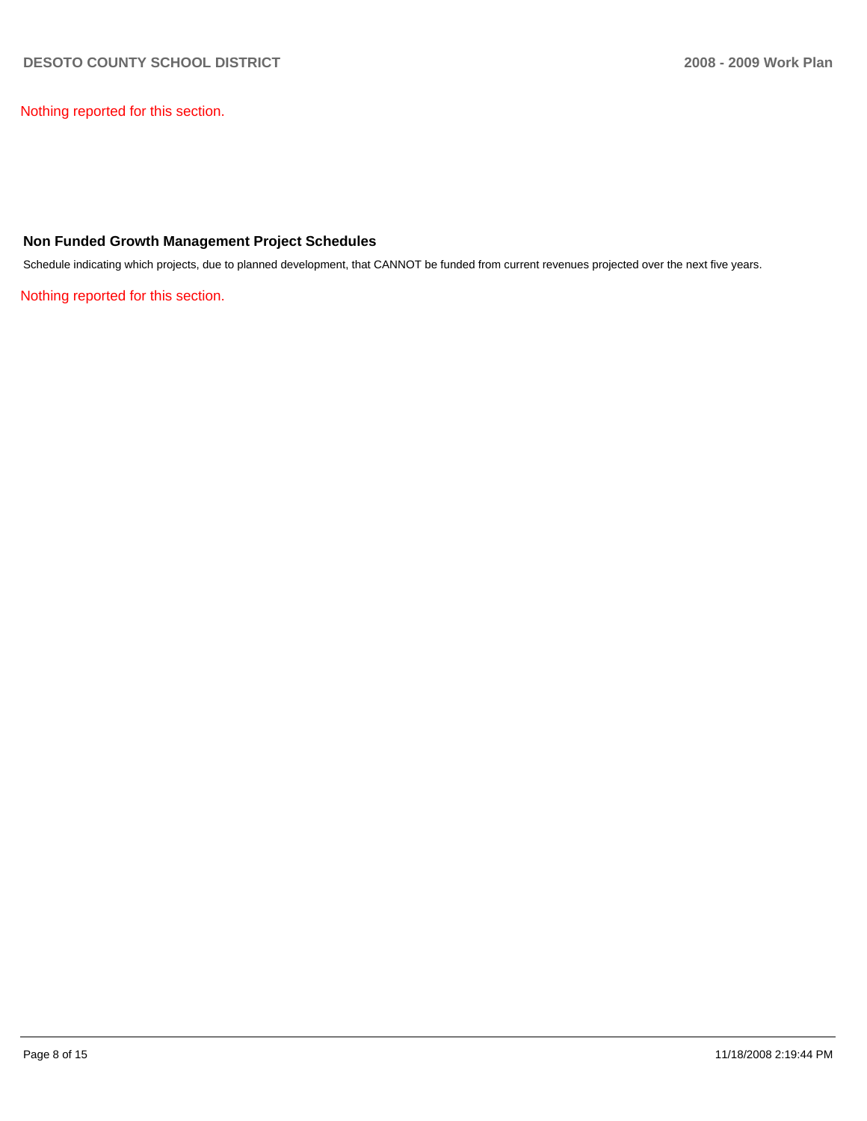Nothing reported for this section.

### **Non Funded Growth Management Project Schedules**

Schedule indicating which projects, due to planned development, that CANNOT be funded from current revenues projected over the next five years.

Nothing reported for this section.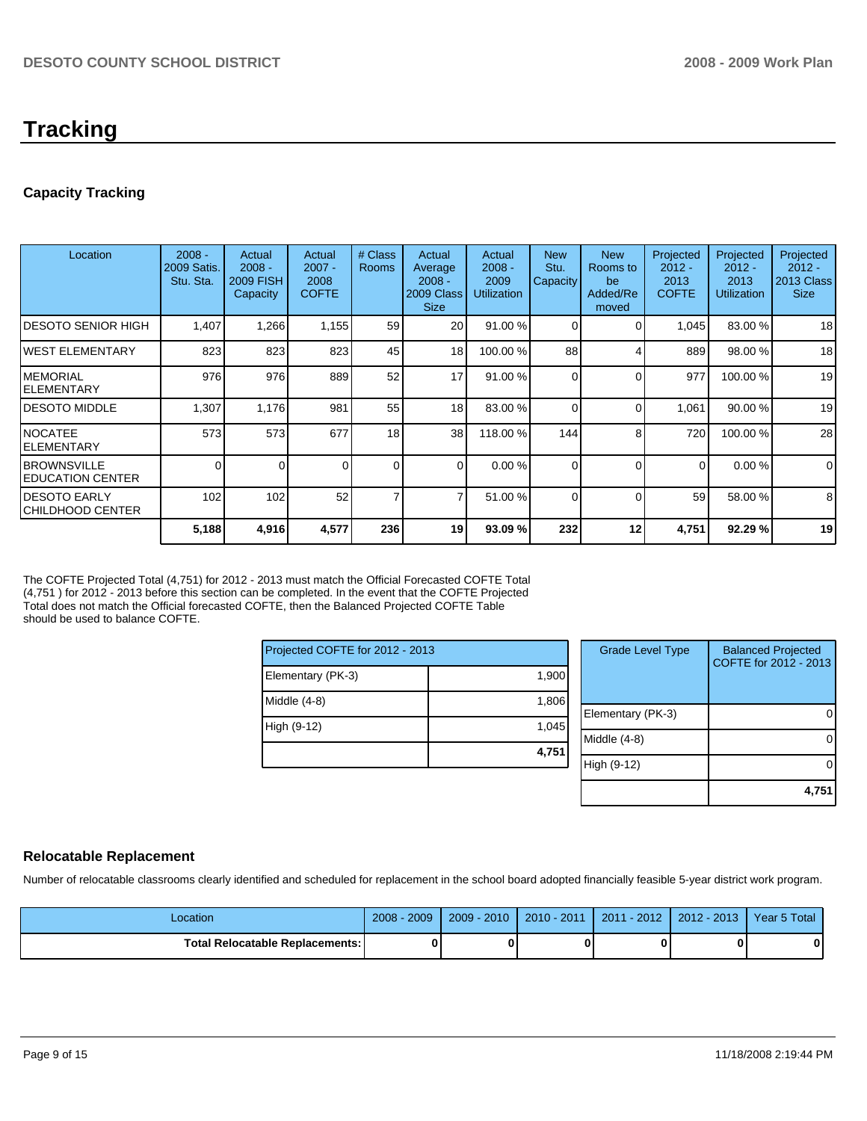# **Tracking**

# **Capacity Tracking**

| Location                                        | $2008 -$<br>2009 Satis.<br>Stu. Sta. | Actual<br>$2008 -$<br><b>2009 FISH</b><br>Capacity | Actual<br>$2007 -$<br>2008<br><b>COFTE</b> | # Class<br><b>Rooms</b> | Actual<br>Average<br>$2008 -$<br>2009 Class<br><b>Size</b> | Actual<br>$2008 -$<br>2009<br><b>Utilization</b> | <b>New</b><br>Stu.<br>Capacity | <b>New</b><br>Rooms to<br>be<br>Added/Re<br>moved | Projected<br>$2012 -$<br>2013<br><b>COFTE</b> | Projected<br>$2012 -$<br>2013<br><b>Utilization</b> | Projected<br>$2012 -$<br>2013 Class<br><b>Size</b> |
|-------------------------------------------------|--------------------------------------|----------------------------------------------------|--------------------------------------------|-------------------------|------------------------------------------------------------|--------------------------------------------------|--------------------------------|---------------------------------------------------|-----------------------------------------------|-----------------------------------------------------|----------------------------------------------------|
| <b>DESOTO SENIOR HIGH</b>                       | 1,407                                | 1,266                                              | 1,155                                      | 59                      | 20                                                         | 91.00 %                                          |                                | 0                                                 | 1,045                                         | 83.00 %                                             | 18                                                 |
| IWEST ELEMENTARY                                | 823                                  | 823                                                | 823                                        | 45                      | 18                                                         | 100.00 %                                         | 88                             | Δ                                                 | 889                                           | 98.00 %                                             | 18                                                 |
| <b>IMEMORIAL</b><br>IELEMENTARY                 | 976                                  | 976                                                | 889                                        | 52                      | 17                                                         | 91.00 %                                          | 0                              | $\Omega$                                          | 977                                           | 100.00 %                                            | 19                                                 |
| IDESOTO MIDDLE                                  | 1,307                                | 1,176                                              | 981                                        | 55                      | 18                                                         | 83.00 %                                          | 0                              | $\Omega$                                          | 1,061                                         | 90.00 %                                             | 19                                                 |
| INOCATEE<br>IELEMENTARY                         | 573                                  | 573                                                | 677                                        | 18                      | 38                                                         | 118.00 %                                         | 144                            | 8                                                 | 720                                           | 100.00 %                                            | 28                                                 |
| <b>IBROWNSVILLE</b><br><b>IEDUCATION CENTER</b> | 0                                    | 0                                                  |                                            | $\overline{0}$          | $\Omega$                                                   | 0.00%                                            | 0                              | $\Omega$                                          | $\Omega$                                      | 0.00%                                               | $\mathbf 0$                                        |
| IDESOTO EARLY<br>CHILDHOOD CENTER               | 102                                  | 102                                                | 52                                         | $\overline{7}$          | 7                                                          | 51.00 %                                          | 0                              | $\Omega$                                          | 59                                            | 58.00 %                                             | 8                                                  |
|                                                 | 5,188                                | 4,916                                              | 4,577                                      | 236                     | 19                                                         | 93.09 %                                          | 232                            | 12                                                | 4,751                                         | 92.29 %                                             | 19                                                 |

The COFTE Projected Total (4,751) for 2012 - 2013 must match the Official Forecasted COFTE Total (4,751 ) for 2012 - 2013 before this section can be completed. In the event that the COFTE Projected Total does not match the Official forecasted COFTE, then the Balanced Projected COFTE Table should be used to balance COFTE.

| Projected COFTE for 2012 - 2013 |       |
|---------------------------------|-------|
| Elementary (PK-3)               | 1,900 |
| Middle (4-8)                    | 1,806 |
| High (9-12)                     | 1,045 |
|                                 | 4,751 |

| <b>Grade Level Type</b> | <b>Balanced Projected</b><br>COFTE for 2012 - 2013 |
|-------------------------|----------------------------------------------------|
| Elementary (PK-3)       |                                                    |
| Middle $(4-8)$          |                                                    |
| High (9-12)             |                                                    |
|                         | 4,75                                               |

# **Relocatable Replacement**

Number of relocatable classrooms clearly identified and scheduled for replacement in the school board adopted financially feasible 5-year district work program.

| Location                               | 2009<br>$2008 -$ | $2009 - 2010$ | $2010 - 2011$ | $2011 - 2012$ | $2012 - 2013$ | Year 5 Total |
|----------------------------------------|------------------|---------------|---------------|---------------|---------------|--------------|
| <b>Total Relocatable Replacements:</b> |                  |               |               |               |               |              |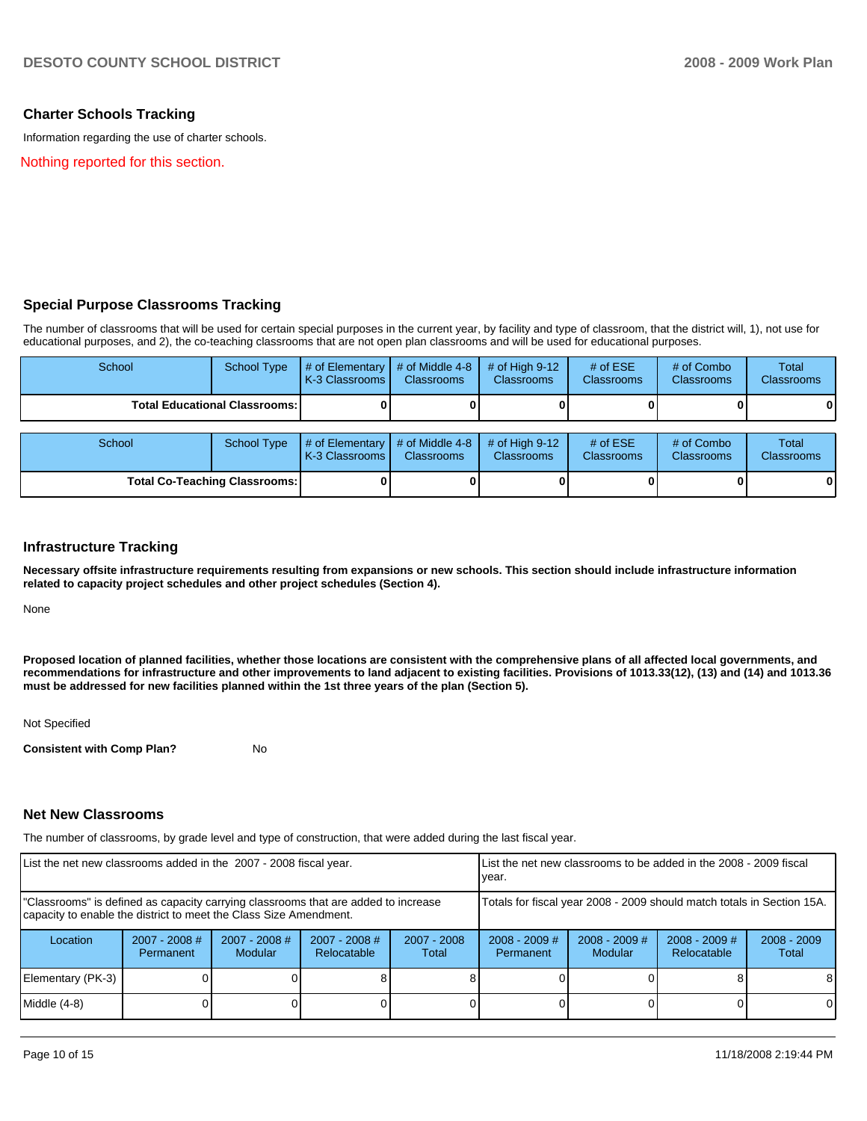### **Charter Schools Tracking**

Information regarding the use of charter schools.

Nothing reported for this section.

#### **Special Purpose Classrooms Tracking**

The number of classrooms that will be used for certain special purposes in the current year, by facility and type of classroom, that the district will, 1), not use for educational purposes, and 2), the co-teaching classrooms that are not open plan classrooms and will be used for educational purposes.

| School                                 | <b>School Type</b>                   | # of Elementary<br>K-3 Classrooms | # of Middle 4-8<br><b>Classrooms</b> | # of High $9-12$<br><b>Classrooms</b> | # of $ESE$<br><b>Classrooms</b> | # of Combo<br><b>Classrooms</b> | Total<br><b>Classrooms</b> |
|----------------------------------------|--------------------------------------|-----------------------------------|--------------------------------------|---------------------------------------|---------------------------------|---------------------------------|----------------------------|
| <b>Total Educational Classrooms: I</b> |                                      |                                   |                                      |                                       |                                 |                                 | $\mathbf{0}$               |
|                                        |                                      |                                   |                                      |                                       |                                 |                                 |                            |
| School                                 | <b>School Type</b>                   | # of Elementary<br>K-3 Classrooms | # of Middle 4-8<br><b>Classrooms</b> | # of High $9-12$<br><b>Classrooms</b> | # of $ESE$<br><b>Classrooms</b> | # of Combo<br><b>Classrooms</b> | Total<br><b>Classrooms</b> |
|                                        | <b>Total Co-Teaching Classrooms:</b> |                                   |                                      |                                       |                                 |                                 | $\mathbf{0}$               |

#### **Infrastructure Tracking**

**Necessary offsite infrastructure requirements resulting from expansions or new schools. This section should include infrastructure information related to capacity project schedules and other project schedules (Section 4).** 

None

**Proposed location of planned facilities, whether those locations are consistent with the comprehensive plans of all affected local governments, and recommendations for infrastructure and other improvements to land adjacent to existing facilities. Provisions of 1013.33(12), (13) and (14) and 1013.36 must be addressed for new facilities planned within the 1st three years of the plan (Section 5).** 

Not Specified

**Consistent with Comp Plan?** No

#### **Net New Classrooms**

The number of classrooms, by grade level and type of construction, that were added during the last fiscal year.

| List the net new classrooms added in the 2007 - 2008 fiscal year.                                                                                       |                              |                                   |                                |                                                                        | List the net new classrooms to be added in the 2008 - 2009 fiscal<br>year. |                                   |                                       |                        |
|---------------------------------------------------------------------------------------------------------------------------------------------------------|------------------------------|-----------------------------------|--------------------------------|------------------------------------------------------------------------|----------------------------------------------------------------------------|-----------------------------------|---------------------------------------|------------------------|
| "Classrooms" is defined as capacity carrying classrooms that are added to increase<br>capacity to enable the district to meet the Class Size Amendment. |                              |                                   |                                | Totals for fiscal year 2008 - 2009 should match totals in Section 15A. |                                                                            |                                   |                                       |                        |
| Location                                                                                                                                                | $2007 - 2008$ #<br>Permanent | $2007 - 2008$ #<br><b>Modular</b> | $2007 - 2008$ #<br>Relocatable | $2007 - 2008$<br>Total                                                 | $2008 - 2009$ #<br>Permanent                                               | $2008 - 2009$ #<br><b>Modular</b> | $2008 - 2009$ #<br><b>Relocatable</b> | $2008 - 2009$<br>Total |
| Elementary (PK-3)                                                                                                                                       |                              |                                   |                                |                                                                        |                                                                            |                                   |                                       | 81                     |
| Middle $(4-8)$                                                                                                                                          |                              |                                   |                                |                                                                        |                                                                            |                                   |                                       | $\Omega$               |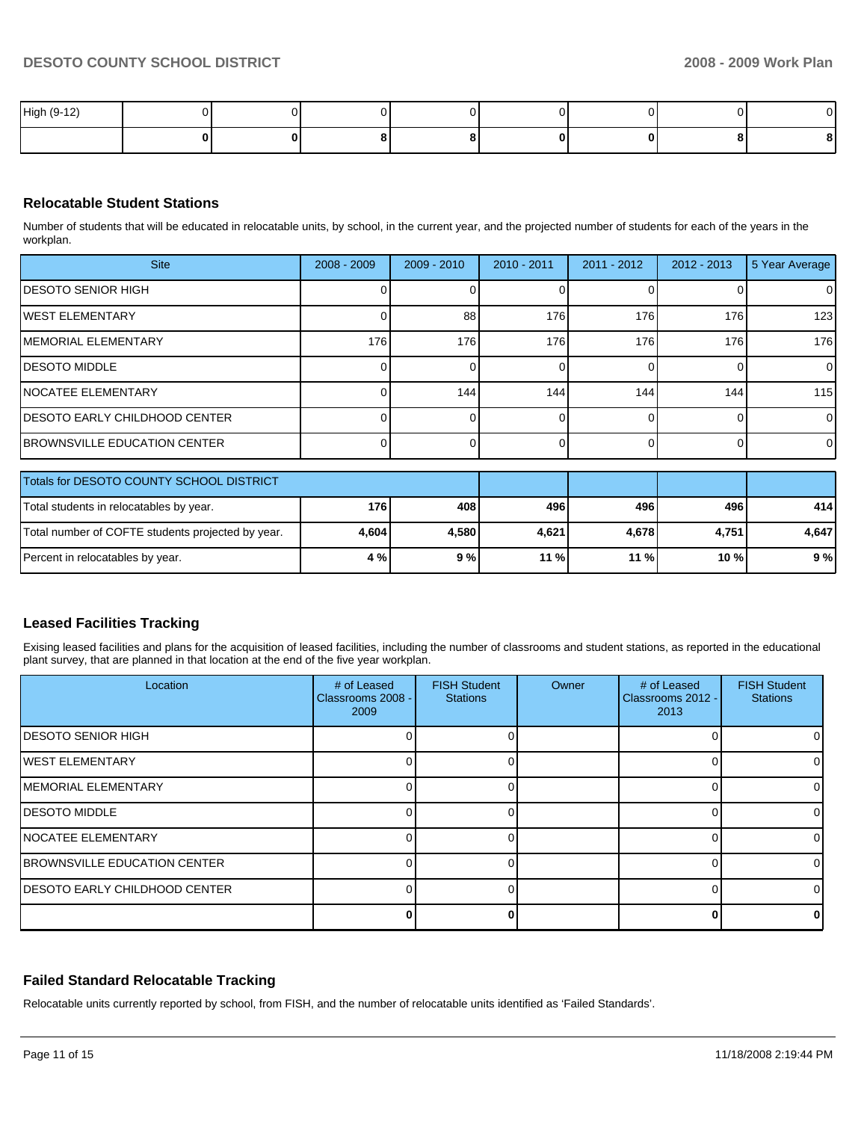| High (9-12) |  |  |  |              |
|-------------|--|--|--|--------------|
|             |  |  |  | $\mathbf{r}$ |

# **Relocatable Student Stations**

Number of students that will be educated in relocatable units, by school, in the current year, and the projected number of students for each of the years in the workplan.

| <b>Site</b>                              | $2008 - 2009$ | $2009 - 2010$ | $2010 - 2011$ | $2011 - 2012$ | $2012 - 2013$ | 5 Year Average |
|------------------------------------------|---------------|---------------|---------------|---------------|---------------|----------------|
| <b>IDESOTO SENIOR HIGH</b>               |               |               |               |               |               | 0              |
| <b>WEST ELEMENTARY</b>                   |               | 88            | 176           | 176           | 176           | 123            |
| <b>IMEMORIAL ELEMENTARY</b>              | 176           | 176           | 176           | 176           | 176           | 176            |
| <b>IDESOTO MIDDLE</b>                    |               |               |               |               |               | $\overline{0}$ |
| <b>INOCATEE ELEMENTARY</b>               |               | 144           | 144           | 144           | 144           | 115            |
| <b>IDESOTO EARLY CHILDHOOD CENTER</b>    |               |               |               |               |               | $\overline{0}$ |
| <b>IBROWNSVILLE EDUCATION CENTER</b>     |               |               |               |               |               | $\overline{0}$ |
|                                          |               |               |               |               |               |                |
| Totals for DESOTO COUNTY SCHOOL DISTRICT |               |               |               |               |               |                |
| Total students in relocatables by year.  | <b>176</b>    | 408           | 496           | 496           | 496           | 414            |

Total number of COFTE students projected by year. **4,604** 4,580 4,621 4,678 4,678 4,751 4,647 Percent in relocatables by year. **11 % 11 % 11 % 11 % 10 % 11 % 10 % 11 % 10 % 9 %** 11 % Percent in relocatables by year.

| <b>Leased Facilities Tracking</b> |  |  |  |  |
|-----------------------------------|--|--|--|--|
|-----------------------------------|--|--|--|--|

Exising leased facilities and plans for the acquisition of leased facilities, including the number of classrooms and student stations, as reported in the educational plant survey, that are planned in that location at the end of the five year workplan.

| Location                              | # of Leased<br>Classrooms 2008 -<br>2009 | <b>FISH Student</b><br><b>Stations</b> | Owner | # of Leased<br>Classrooms 2012 -<br>2013 | <b>FISH Student</b><br><b>Stations</b> |
|---------------------------------------|------------------------------------------|----------------------------------------|-------|------------------------------------------|----------------------------------------|
| <b>DESOTO SENIOR HIGH</b>             |                                          |                                        |       |                                          |                                        |
| <b>IWEST ELEMENTARY</b>               |                                          |                                        |       |                                          |                                        |
| <b>IMEMORIAL ELEMENTARY</b>           |                                          |                                        |       |                                          |                                        |
| <b>IDESOTO MIDDLE</b>                 |                                          |                                        |       |                                          |                                        |
| <b>INOCATEE ELEMENTARY</b>            |                                          |                                        |       |                                          |                                        |
| <b>BROWNSVILLE EDUCATION CENTER</b>   |                                          |                                        |       |                                          |                                        |
| <b>IDESOTO EARLY CHILDHOOD CENTER</b> |                                          |                                        |       |                                          |                                        |
|                                       |                                          |                                        |       |                                          |                                        |

### **Failed Standard Relocatable Tracking**

Relocatable units currently reported by school, from FISH, and the number of relocatable units identified as 'Failed Standards'.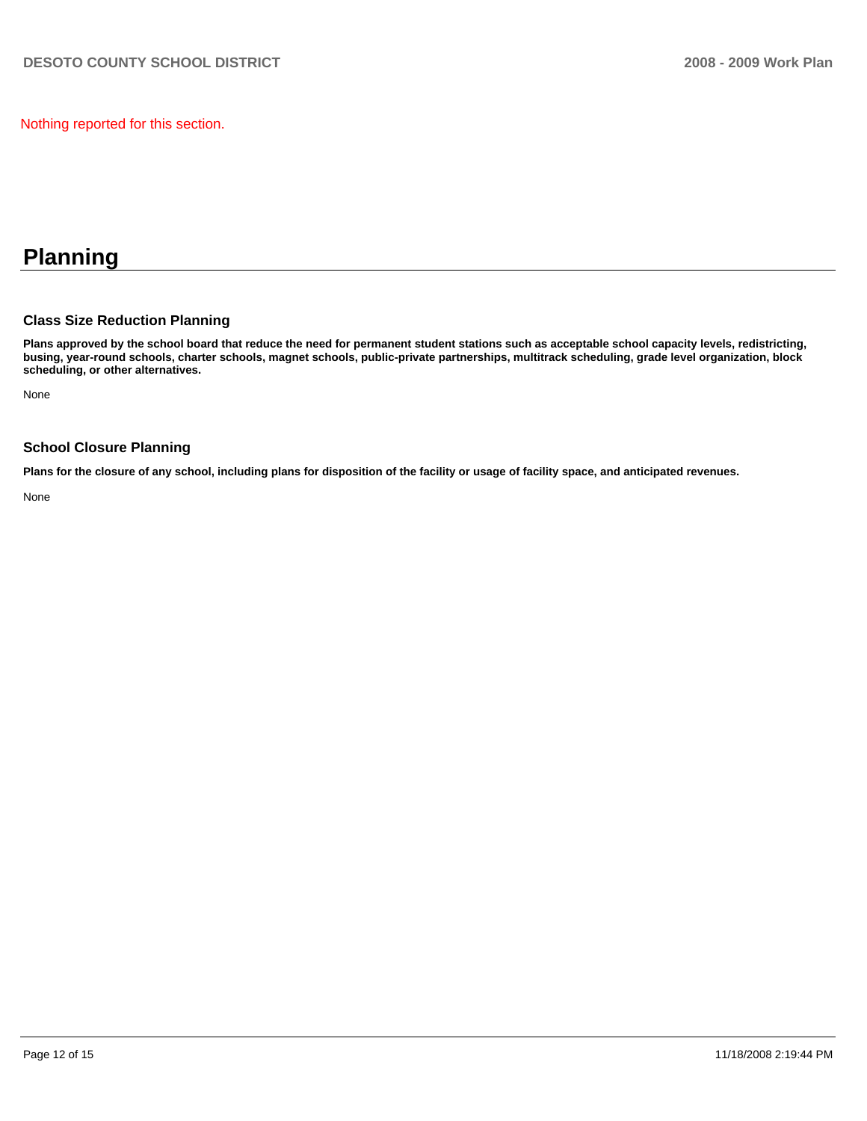Nothing reported for this section.

# **Planning**

#### **Class Size Reduction Planning**

**Plans approved by the school board that reduce the need for permanent student stations such as acceptable school capacity levels, redistricting, busing, year-round schools, charter schools, magnet schools, public-private partnerships, multitrack scheduling, grade level organization, block scheduling, or other alternatives.** 

None

#### **School Closure Planning**

**Plans for the closure of any school, including plans for disposition of the facility or usage of facility space, and anticipated revenues.** 

None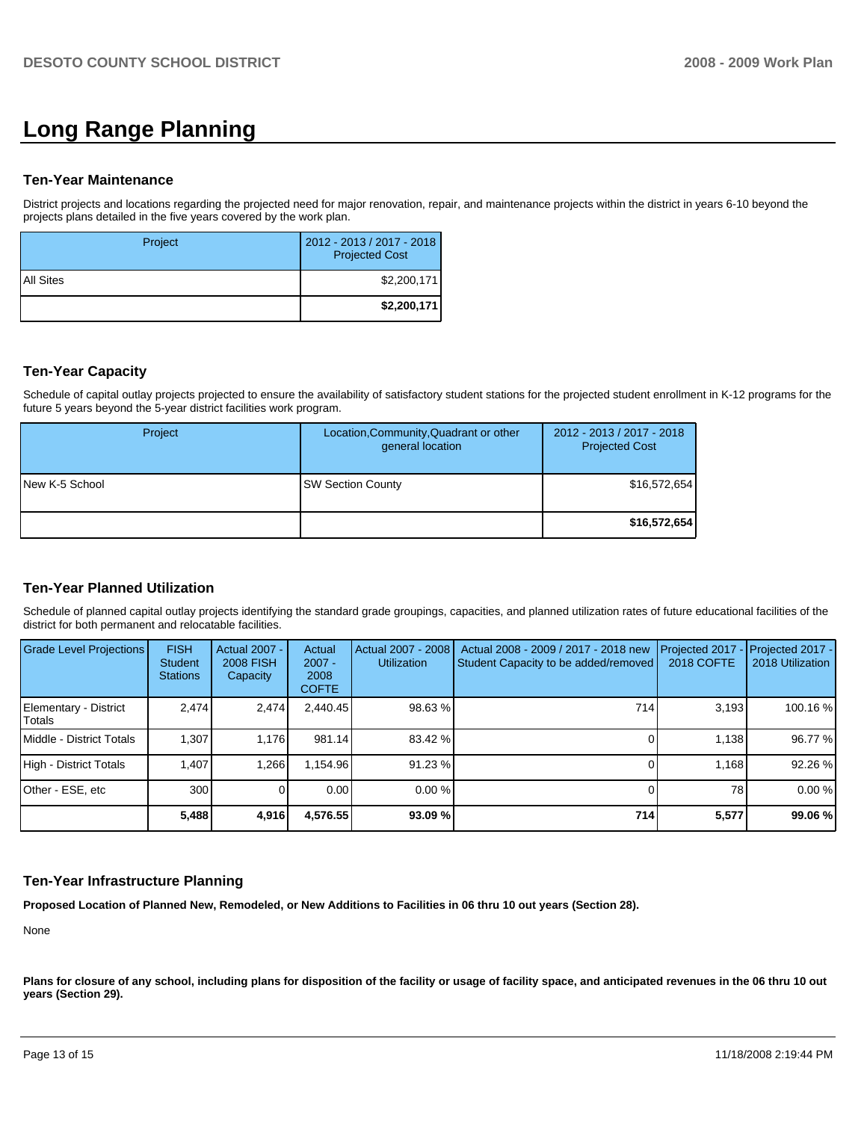# **Long Range Planning**

#### **Ten-Year Maintenance**

District projects and locations regarding the projected need for major renovation, repair, and maintenance projects within the district in years 6-10 beyond the projects plans detailed in the five years covered by the work plan.

| Project     | 2012 - 2013 / 2017 - 2018<br><b>Projected Cost</b> |
|-------------|----------------------------------------------------|
| I All Sites | \$2,200,171                                        |
|             | \$2,200,171                                        |

### **Ten-Year Capacity**

Schedule of capital outlay projects projected to ensure the availability of satisfactory student stations for the projected student enrollment in K-12 programs for the future 5 years beyond the 5-year district facilities work program.

| Project        | Location, Community, Quadrant or other<br>general location | 2012 - 2013 / 2017 - 2018<br><b>Projected Cost</b> |
|----------------|------------------------------------------------------------|----------------------------------------------------|
| New K-5 School | <b>SW Section County</b>                                   | \$16,572,654                                       |
|                |                                                            | \$16,572,654                                       |

# **Ten-Year Planned Utilization**

Schedule of planned capital outlay projects identifying the standard grade groupings, capacities, and planned utilization rates of future educational facilities of the district for both permanent and relocatable facilities.

| Grade Level Projections         | <b>FISH</b><br><b>Student</b><br><b>Stations</b> | <b>Actual 2007 -</b><br><b>2008 FISH</b><br>Capacity | Actual<br>$2007 -$<br>2008<br><b>COFTE</b> | Actual 2007 - 2008<br><b>Utilization</b> | Actual 2008 - 2009 / 2017 - 2018 new<br>Student Capacity to be added/removed | Projected 2017<br><b>2018 COFTE</b> | $-$ Projected 2017 -<br>2018 Utilization |
|---------------------------------|--------------------------------------------------|------------------------------------------------------|--------------------------------------------|------------------------------------------|------------------------------------------------------------------------------|-------------------------------------|------------------------------------------|
| Elementary - District<br>Totals | 2.474                                            | 2,474                                                | 2.440.45                                   | 98.63 %                                  | 714                                                                          | 3.193                               | 100.16 %                                 |
| Middle - District Totals        | 1.307                                            | 1.176                                                | 981.14                                     | 83.42 %                                  |                                                                              | 1.138                               | 96.77 %                                  |
| High - District Totals          | 1.407                                            | 1.266                                                | 1.154.96                                   | 91.23 %                                  |                                                                              | 1.168                               | 92.26 %                                  |
| Other - ESE, etc                | 300                                              |                                                      | 0.00                                       | $0.00 \%$                                |                                                                              | 78                                  | 0.00%                                    |
|                                 | 5,488                                            | 4,916                                                | 4,576.55                                   | 93.09 %                                  | 714                                                                          | 5,577                               | 99.06 %                                  |

#### **Ten-Year Infrastructure Planning**

**Proposed Location of Planned New, Remodeled, or New Additions to Facilities in 06 thru 10 out years (Section 28).** 

None

Plans for closure of any school, including plans for disposition of the facility or usage of facility space, and anticipated revenues in the 06 thru 10 out **years (Section 29).**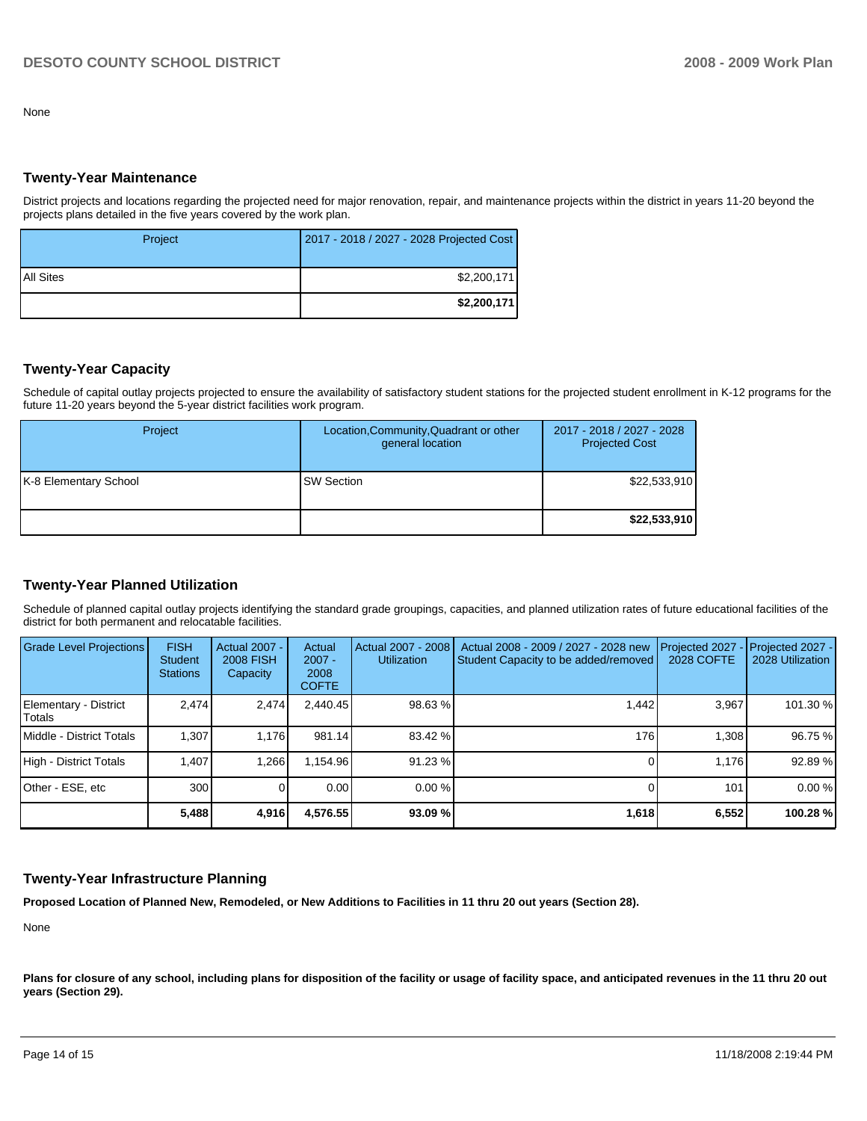None

#### **Twenty-Year Maintenance**

District projects and locations regarding the projected need for major renovation, repair, and maintenance projects within the district in years 11-20 beyond the projects plans detailed in the five years covered by the work plan.

| Project   | 2017 - 2018 / 2027 - 2028 Projected Cost |
|-----------|------------------------------------------|
| All Sites | \$2,200,171                              |
|           | \$2,200,171                              |

### **Twenty-Year Capacity**

Schedule of capital outlay projects projected to ensure the availability of satisfactory student stations for the projected student enrollment in K-12 programs for the future 11-20 years beyond the 5-year district facilities work program.

| Project               | Location, Community, Quadrant or other<br>general location | 2017 - 2018 / 2027 - 2028<br><b>Projected Cost</b> |
|-----------------------|------------------------------------------------------------|----------------------------------------------------|
| K-8 Elementary School | <b>SW Section</b>                                          | \$22,533,910                                       |
|                       |                                                            | \$22,533,910                                       |

# **Twenty-Year Planned Utilization**

Schedule of planned capital outlay projects identifying the standard grade groupings, capacities, and planned utilization rates of future educational facilities of the district for both permanent and relocatable facilities.

| Grade Level Projections         | <b>FISH</b><br>Student<br><b>Stations</b> | Actual 2007 -<br><b>2008 FISH</b><br>Capacity | Actual<br>$2007 -$<br>2008<br><b>COFTE</b> | Actual 2007 - 2008<br><b>Utilization</b> | Actual 2008 - 2009 / 2027 - 2028 new<br>Student Capacity to be added/removed | Projected 2027<br>2028 COFTE | Projected 2027 -<br>2028 Utilization |
|---------------------------------|-------------------------------------------|-----------------------------------------------|--------------------------------------------|------------------------------------------|------------------------------------------------------------------------------|------------------------------|--------------------------------------|
| Elementary - District<br>Totals | 2.474                                     | 2,474                                         | 2.440.45                                   | 98.63 %                                  | 1.442                                                                        | 3.967                        | 101.30 %                             |
| Middle - District Totals        | 1.307                                     | 1.176                                         | 981.14                                     | 83.42 %                                  | 1761                                                                         | 1.308                        | 96.75 %                              |
| High - District Totals          | 1.407                                     | 1.266                                         | 1.154.96                                   | 91.23 %                                  |                                                                              | 1.176                        | 92.89 %                              |
| Other - ESE, etc                | 300                                       |                                               | 0.00                                       | $0.00 \%$                                |                                                                              | 101                          | 0.00%                                |
|                                 | 5,488                                     | 4,916                                         | 4,576.55                                   | 93.09 %                                  | 1,618                                                                        | 6,552                        | 100.28%                              |

#### **Twenty-Year Infrastructure Planning**

**Proposed Location of Planned New, Remodeled, or New Additions to Facilities in 11 thru 20 out years (Section 28).** 

None

Plans for closure of any school, including plans for disposition of the facility or usage of facility space, and anticipated revenues in the 11 thru 20 out **years (Section 29).**